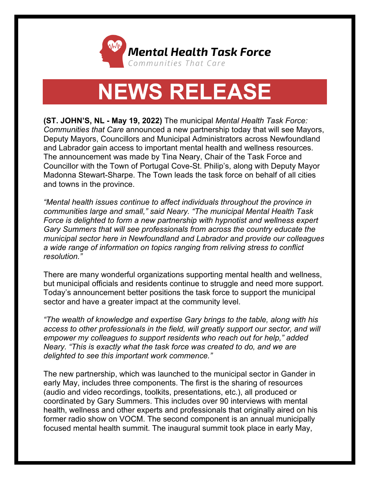

## **NEWS RELEASE**

**(ST. JOHN'S, NL - May 19, 2022)** The municipal *Mental Health Task Force: Communities that Care* announced a new partnership today that will see Mayors, Deputy Mayors, Councillors and Municipal Administrators across Newfoundland and Labrador gain access to important mental health and wellness resources. The announcement was made by Tina Neary, Chair of the Task Force and Councillor with the Town of Portugal Cove-St. Philip's, along with Deputy Mayor Madonna Stewart-Sharpe. The Town leads the task force on behalf of all cities and towns in the province.

*"Mental health issues continue to affect individuals throughout the province in communities large and small," said Neary. "The municipal Mental Health Task Force is delighted to form a new partnership with hypnotist and wellness expert Gary Summers that will see professionals from across the country educate the municipal sector here in Newfoundland and Labrador and provide our colleagues a wide range of information on topics ranging from reliving stress to conflict resolution."*

There are many wonderful organizations supporting mental health and wellness, but municipal officials and residents continue to struggle and need more support. Today's announcement better positions the task force to support the municipal sector and have a greater impact at the community level.

*"The wealth of knowledge and expertise Gary brings to the table, along with his access to other professionals in the field, will greatly support our sector, and will empower my colleagues to support residents who reach out for help," added Neary. "This is exactly what the task force was created to do, and we are delighted to see this important work commence."*

The new partnership, which was launched to the municipal sector in Gander in early May, includes three components. The first is the sharing of resources (audio and video recordings, toolkits, presentations, etc.), all produced or coordinated by Gary Summers. This includes over 90 interviews with mental health, wellness and other experts and professionals that originally aired on his former radio show on VOCM. The second component is an annual municipally focused mental health summit. The inaugural summit took place in early May,